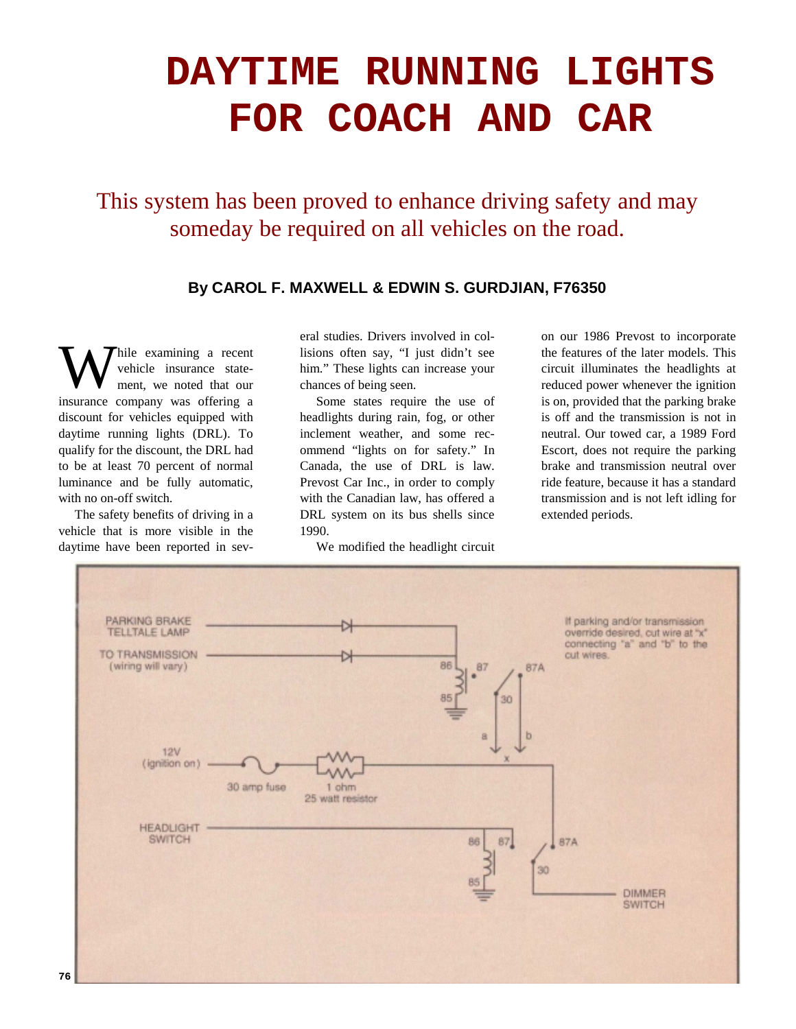## **DAYTIME RUNNING LIGHTS FOR COACH AND CAR**

This system has been proved to enhance driving safety and may someday be required on all vehicles on the road.

## **By CAROL F. MAXWELL & EDWIN S. GURDJIAN, F76350**

hile examining a recent vehicle insurance statement, we noted that our insurance company was offering a discount for vehicles equipped with daytime running lights (DRL). To qualify for the discount, the DRL had to be at least 70 percent of normal luminance and be fully automatic, with no on-off switch. W

The safety benefits of driving in a vehicle that is more visible in the daytime have been reported in several studies. Drivers involved in collisions often say, "I just didn't see him." These lights can increase your chances of being seen.

Some states require the use of headlights during rain, fog, or other inclement weather, and some recommend "lights on for safety." In Canada, the use of DRL is law. Prevost Car Inc., in order to comply with the Canadian law, has offered a DRL system on its bus shells since 1990.

We modified the headlight circuit

on our 1986 Prevost to incorporate the features of the later models. This circuit illuminates the headlights at reduced power whenever the ignition is on, provided that the parking brake is off and the transmission is not in neutral. Our towed car, a 1989 Ford Escort, does not require the parking brake and transmission neutral over ride feature, because it has a standard transmission and is not left idling for extended periods.